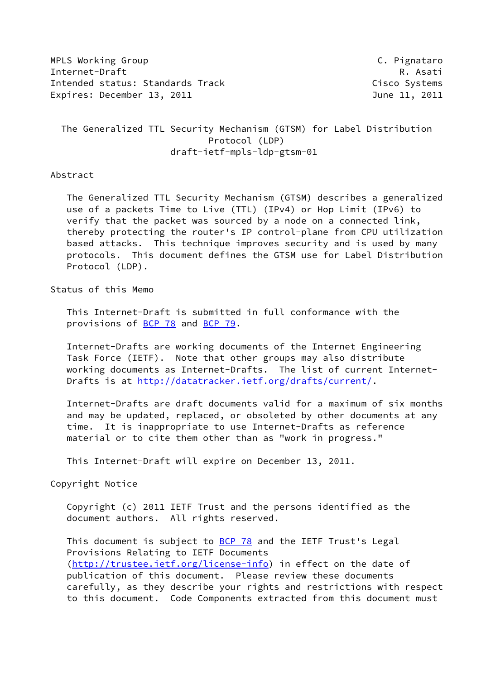MPLS Working Group **C. Pignataro** Internet-Draft Research R. Asati Intended status: Standards Track Cisco Systems Expires: December 13, 2011 June 11, 2011

 The Generalized TTL Security Mechanism (GTSM) for Label Distribution Protocol (LDP) draft-ietf-mpls-ldp-gtsm-01

#### Abstract

 The Generalized TTL Security Mechanism (GTSM) describes a generalized use of a packets Time to Live (TTL) (IPv4) or Hop Limit (IPv6) to verify that the packet was sourced by a node on a connected link, thereby protecting the router's IP control-plane from CPU utilization based attacks. This technique improves security and is used by many protocols. This document defines the GTSM use for Label Distribution Protocol (LDP).

#### Status of this Memo

 This Internet-Draft is submitted in full conformance with the provisions of **BCP 78** and **BCP 79**.

 Internet-Drafts are working documents of the Internet Engineering Task Force (IETF). Note that other groups may also distribute working documents as Internet-Drafts. The list of current Internet Drafts is at<http://datatracker.ietf.org/drafts/current/>.

 Internet-Drafts are draft documents valid for a maximum of six months and may be updated, replaced, or obsoleted by other documents at any time. It is inappropriate to use Internet-Drafts as reference material or to cite them other than as "work in progress."

This Internet-Draft will expire on December 13, 2011.

Copyright Notice

 Copyright (c) 2011 IETF Trust and the persons identified as the document authors. All rights reserved.

This document is subject to **[BCP 78](https://datatracker.ietf.org/doc/pdf/bcp78)** and the IETF Trust's Legal Provisions Relating to IETF Documents [\(http://trustee.ietf.org/license-info](http://trustee.ietf.org/license-info)) in effect on the date of publication of this document. Please review these documents carefully, as they describe your rights and restrictions with respect to this document. Code Components extracted from this document must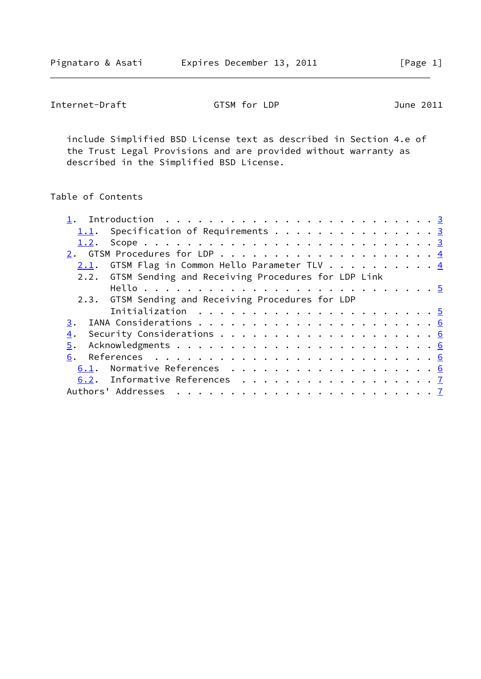| GTSM for LDP<br>Internet-Draft<br>June 2011 |  |
|---------------------------------------------|--|
|---------------------------------------------|--|

 include Simplified BSD License text as described in Section 4.e of the Trust Legal Provisions and are provided without warranty as described in the Simplified BSD License.

# Table of Contents

|      | <u>1.1</u> . Specification of Requirements 3            |  |  |  |  |  |  |  |  |  |
|------|---------------------------------------------------------|--|--|--|--|--|--|--|--|--|
|      |                                                         |  |  |  |  |  |  |  |  |  |
|      |                                                         |  |  |  |  |  |  |  |  |  |
| 2.1. | GTSM Flag in Common Hello Parameter TLV $\cdots$ 4      |  |  |  |  |  |  |  |  |  |
|      | 2.2. GTSM Sending and Receiving Procedures for LDP Link |  |  |  |  |  |  |  |  |  |
|      |                                                         |  |  |  |  |  |  |  |  |  |
|      | 2.3. GTSM Sending and Receiving Procedures for LDP      |  |  |  |  |  |  |  |  |  |
|      |                                                         |  |  |  |  |  |  |  |  |  |
| 3.   |                                                         |  |  |  |  |  |  |  |  |  |
| 4.   |                                                         |  |  |  |  |  |  |  |  |  |
| 5.   |                                                         |  |  |  |  |  |  |  |  |  |
| 6.   |                                                         |  |  |  |  |  |  |  |  |  |
| 6.1. |                                                         |  |  |  |  |  |  |  |  |  |
|      | 6.2. Informative References 7                           |  |  |  |  |  |  |  |  |  |
|      | Authors' Addresses                                      |  |  |  |  |  |  |  |  |  |
|      |                                                         |  |  |  |  |  |  |  |  |  |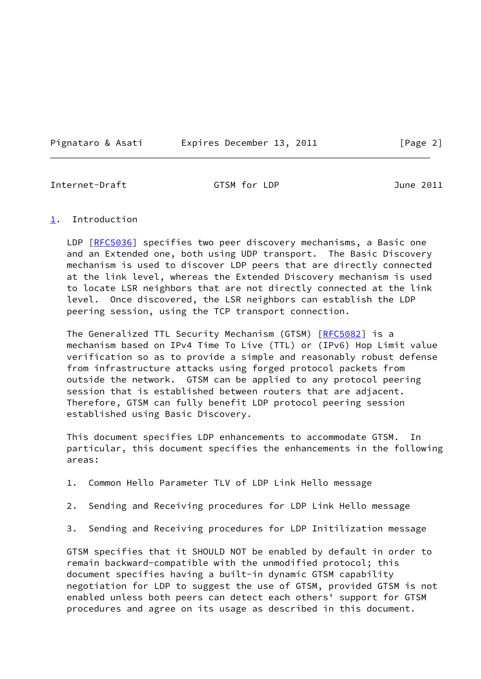Pignataro & Asati Expires December 13, 2011 [Page 2]

<span id="page-2-1"></span>Internet-Draft GTSM for LDP June 2011

#### <span id="page-2-0"></span>[1](#page-2-0). Introduction

LDP [\[RFC5036](https://datatracker.ietf.org/doc/pdf/rfc5036)] specifies two peer discovery mechanisms, a Basic one and an Extended one, both using UDP transport. The Basic Discovery mechanism is used to discover LDP peers that are directly connected at the link level, whereas the Extended Discovery mechanism is used to locate LSR neighbors that are not directly connected at the link level. Once discovered, the LSR neighbors can establish the LDP peering session, using the TCP transport connection.

The Generalized TTL Security Mechanism (GTSM) [[RFC5082](https://datatracker.ietf.org/doc/pdf/rfc5082)] is a mechanism based on IPv4 Time To Live (TTL) or (IPv6) Hop Limit value verification so as to provide a simple and reasonably robust defense from infrastructure attacks using forged protocol packets from outside the network. GTSM can be applied to any protocol peering session that is established between routers that are adjacent. Therefore, GTSM can fully benefit LDP protocol peering session established using Basic Discovery.

 This document specifies LDP enhancements to accommodate GTSM. In particular, this document specifies the enhancements in the following areas:

- 1. Common Hello Parameter TLV of LDP Link Hello message
- 2. Sending and Receiving procedures for LDP Link Hello message
- 3. Sending and Receiving procedures for LDP Initilization message

 GTSM specifies that it SHOULD NOT be enabled by default in order to remain backward-compatible with the unmodified protocol; this document specifies having a built-in dynamic GTSM capability negotiation for LDP to suggest the use of GTSM, provided GTSM is not enabled unless both peers can detect each others' support for GTSM procedures and agree on its usage as described in this document.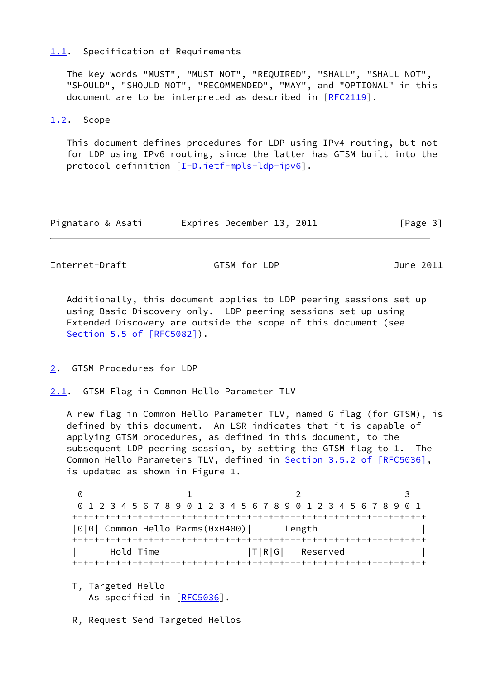#### <span id="page-3-0"></span>[1.1](#page-3-0). Specification of Requirements

 The key words "MUST", "MUST NOT", "REQUIRED", "SHALL", "SHALL NOT", "SHOULD", "SHOULD NOT", "RECOMMENDED", "MAY", and "OPTIONAL" in this document are to be interpreted as described in [\[RFC2119](https://datatracker.ietf.org/doc/pdf/rfc2119)].

#### <span id="page-3-1"></span>[1.2](#page-3-1). Scope

 This document defines procedures for LDP using IPv4 routing, but not for LDP using IPv6 routing, since the latter has GTSM built into the protocol definition [\[I-D.ietf-mpls-ldp-ipv6](#page-6-4)].

| Pignataro & Asati |  | Expires December 13, 2011 | [Page 3] |
|-------------------|--|---------------------------|----------|
|-------------------|--|---------------------------|----------|

<span id="page-3-3"></span>Internet-Draft GTSM for LDP June 2011

 Additionally, this document applies to LDP peering sessions set up using Basic Discovery only. LDP peering sessions set up using Extended Discovery are outside the scope of this document (see Section [5.5 of \[RFC5082\]](https://datatracker.ietf.org/doc/pdf/rfc5082#section-5.5)).

<span id="page-3-2"></span>[2](#page-3-2). GTSM Procedures for LDP

<span id="page-3-4"></span>[2.1](#page-3-4). GTSM Flag in Common Hello Parameter TLV

 A new flag in Common Hello Parameter TLV, named G flag (for GTSM), is defined by this document. An LSR indicates that it is capable of applying GTSM procedures, as defined in this document, to the subsequent LDP peering session, by setting the GTSM flag to 1. The Common Hello Parameters TLV, defined in **Section [3.5.2 of \[RFC5036\]](https://datatracker.ietf.org/doc/pdf/rfc5036#section-3.5.2)**, is updated as shown in Figure 1.

0 1 2 3 0 1 2 3 4 5 6 7 8 9 0 1 2 3 4 5 6 7 8 9 0 1 2 3 4 5 6 7 8 9 0 1 +-+-+-+-+-+-+-+-+-+-+-+-+-+-+-+-+-+-+-+-+-+-+-+-+-+-+-+-+-+-+-+-+ |0|0| Common Hello Parms(0x0400)| Length | +-+-+-+-+-+-+-+-+-+-+-+-+-+-+-+-+-+-+-+-+-+-+-+-+-+-+-+-+-+-+-+-+ | Hold Time |T|R|G| Reserved | +-+-+-+-+-+-+-+-+-+-+-+-+-+-+-+-+-+-+-+-+-+-+-+-+-+-+-+-+-+-+-+-+

 T, Targeted Hello As specified in [\[RFC5036](https://datatracker.ietf.org/doc/pdf/rfc5036)].

R, Request Send Targeted Hellos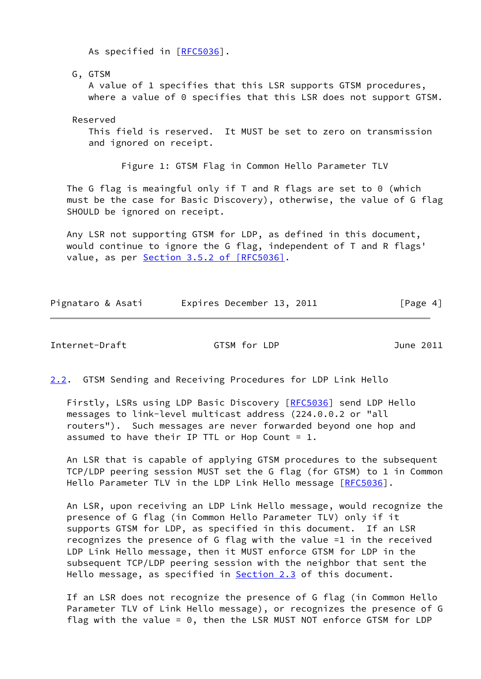As specified in [\[RFC5036](https://datatracker.ietf.org/doc/pdf/rfc5036)].

G, GTSM

 A value of 1 specifies that this LSR supports GTSM procedures, where a value of 0 specifies that this LSR does not support GTSM.

Reserved

 This field is reserved. It MUST be set to zero on transmission and ignored on receipt.

Figure 1: GTSM Flag in Common Hello Parameter TLV

The G flag is meaingful only if T and R flags are set to 0 (which must be the case for Basic Discovery), otherwise, the value of G flag SHOULD be ignored on receipt.

 Any LSR not supporting GTSM for LDP, as defined in this document, would continue to ignore the G flag, independent of T and R flags' value, as per Section [3.5.2 of \[RFC5036\].](https://datatracker.ietf.org/doc/pdf/rfc5036#section-3.5.2)

|  | Pignataro & Asati | Expires December 13, 2011 | [Page 4] |
|--|-------------------|---------------------------|----------|
|--|-------------------|---------------------------|----------|

<span id="page-4-0"></span>Internet-Draft GTSM for LDP June 2011

<span id="page-4-1"></span>[2.2](#page-4-1). GTSM Sending and Receiving Procedures for LDP Link Hello

Firstly, LSRs using LDP Basic Discovery [\[RFC5036](https://datatracker.ietf.org/doc/pdf/rfc5036)] send LDP Hello messages to link-level multicast address (224.0.0.2 or "all routers"). Such messages are never forwarded beyond one hop and assumed to have their IP TTL or Hop Count =  $1$ .

 An LSR that is capable of applying GTSM procedures to the subsequent TCP/LDP peering session MUST set the G flag (for GTSM) to 1 in Common Hello Parameter TLV in the LDP Link Hello message [[RFC5036](https://datatracker.ietf.org/doc/pdf/rfc5036)].

 An LSR, upon receiving an LDP Link Hello message, would recognize the presence of G flag (in Common Hello Parameter TLV) only if it supports GTSM for LDP, as specified in this document. If an LSR recognizes the presence of G flag with the value =1 in the received LDP Link Hello message, then it MUST enforce GTSM for LDP in the subsequent TCP/LDP peering session with the neighbor that sent the Hello message, as specified in **[Section 2.3](#page-5-4)** of this document.

 If an LSR does not recognize the presence of G flag (in Common Hello Parameter TLV of Link Hello message), or recognizes the presence of G flag with the value = 0, then the LSR MUST NOT enforce GTSM for LDP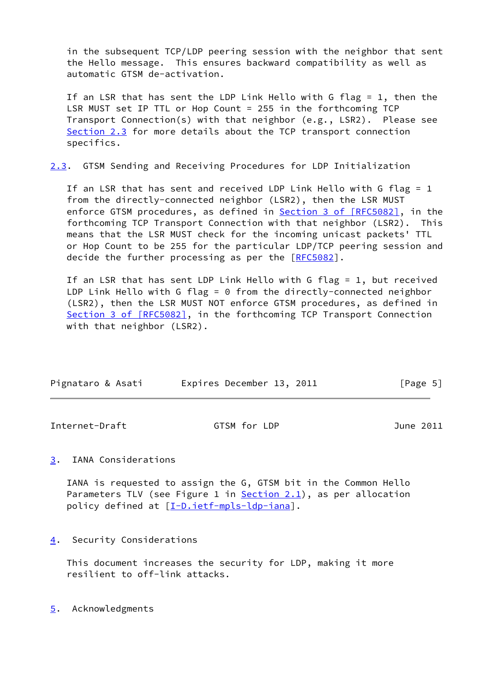in the subsequent TCP/LDP peering session with the neighbor that sent the Hello message. This ensures backward compatibility as well as automatic GTSM de-activation.

 If an LSR that has sent the LDP Link Hello with G flag = 1, then the LSR MUST set IP TTL or Hop Count = 255 in the forthcoming TCP Transport Connection(s) with that neighbor (e.g., LSR2). Please see [Section 2.3](#page-5-4) for more details about the TCP transport connection specifics.

<span id="page-5-4"></span>[2.3](#page-5-4). GTSM Sending and Receiving Procedures for LDP Initialization

 If an LSR that has sent and received LDP Link Hello with G flag = 1 from the directly-connected neighbor (LSR2), then the LSR MUST enforce GTSM procedures, as defined in **Section [3 of \[RFC5082\]](https://datatracker.ietf.org/doc/pdf/rfc5082#section-3)**, in the forthcoming TCP Transport Connection with that neighbor (LSR2). This means that the LSR MUST check for the incoming unicast packets' TTL or Hop Count to be 255 for the particular LDP/TCP peering session and decide the further processing as per the [\[RFC5082](https://datatracker.ietf.org/doc/pdf/rfc5082)].

 If an LSR that has sent LDP Link Hello with G flag = 1, but received LDP Link Hello with G flag =  $0$  from the directly-connected neighbor (LSR2), then the LSR MUST NOT enforce GTSM procedures, as defined in Section [3 of \[RFC5082\]](https://datatracker.ietf.org/doc/pdf/rfc5082#section-3), in the forthcoming TCP Transport Connection with that neighbor (LSR2).

| Pignataro & Asati | Expires December 13, 2011 | [Page 5] |
|-------------------|---------------------------|----------|

<span id="page-5-1"></span>Internet-Draft GTSM for LDP June 2011

### <span id="page-5-0"></span>[3](#page-5-0). IANA Considerations

 IANA is requested to assign the G, GTSM bit in the Common Hello Parameters TLV (see Figure 1 in [Section 2.1](#page-3-4)), as per allocation policy defined at [[I-D.ietf-mpls-ldp-iana](#page-6-5)].

<span id="page-5-2"></span>[4](#page-5-2). Security Considerations

 This document increases the security for LDP, making it more resilient to off-link attacks.

<span id="page-5-3"></span>[5](#page-5-3). Acknowledgments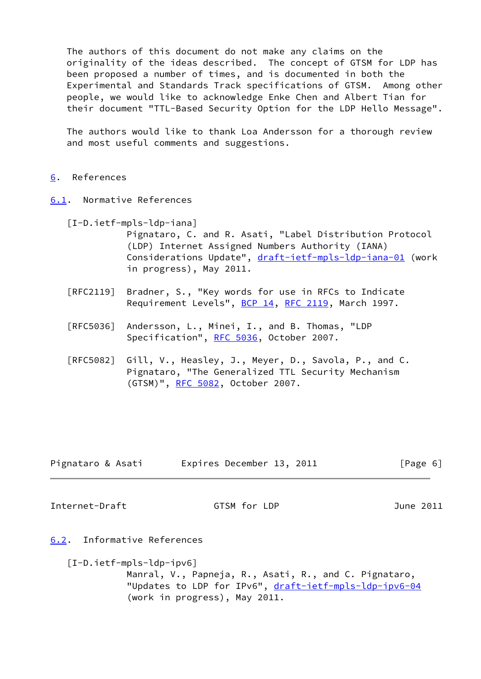The authors of this document do not make any claims on the originality of the ideas described. The concept of GTSM for LDP has been proposed a number of times, and is documented in both the Experimental and Standards Track specifications of GTSM. Among other people, we would like to acknowledge Enke Chen and Albert Tian for their document "TTL-Based Security Option for the LDP Hello Message".

 The authors would like to thank Loa Andersson for a thorough review and most useful comments and suggestions.

## <span id="page-6-0"></span>[6](#page-6-0). References

- <span id="page-6-5"></span><span id="page-6-1"></span>[6.1](#page-6-1). Normative References
	- [I-D.ietf-mpls-ldp-iana]
		- Pignataro, C. and R. Asati, "Label Distribution Protocol (LDP) Internet Assigned Numbers Authority (IANA) Considerations Update", [draft-ietf-mpls-ldp-iana-01](https://datatracker.ietf.org/doc/pdf/draft-ietf-mpls-ldp-iana-01) (work in progress), May 2011.
		- [RFC2119] Bradner, S., "Key words for use in RFCs to Indicate Requirement Levels", [BCP 14](https://datatracker.ietf.org/doc/pdf/bcp14), [RFC 2119](https://datatracker.ietf.org/doc/pdf/rfc2119), March 1997.
		- [RFC5036] Andersson, L., Minei, I., and B. Thomas, "LDP Specification", [RFC 5036,](https://datatracker.ietf.org/doc/pdf/rfc5036) October 2007.
		- [RFC5082] Gill, V., Heasley, J., Meyer, D., Savola, P., and C. Pignataro, "The Generalized TTL Security Mechanism (GTSM)", [RFC 5082,](https://datatracker.ietf.org/doc/pdf/rfc5082) October 2007.

| Pignataro & Asati | Expires December 13, 2011 |  | [Page 6] |
|-------------------|---------------------------|--|----------|
|-------------------|---------------------------|--|----------|

<span id="page-6-3"></span>Internet-Draft GTSM for LDP June 2011

- <span id="page-6-4"></span><span id="page-6-2"></span>[6.2](#page-6-2). Informative References
	- [I-D.ietf-mpls-ldp-ipv6] Manral, V., Papneja, R., Asati, R., and C. Pignataro, "Updates to LDP for IPv6", [draft-ietf-mpls-ldp-ipv6-04](https://datatracker.ietf.org/doc/pdf/draft-ietf-mpls-ldp-ipv6-04) (work in progress), May 2011.